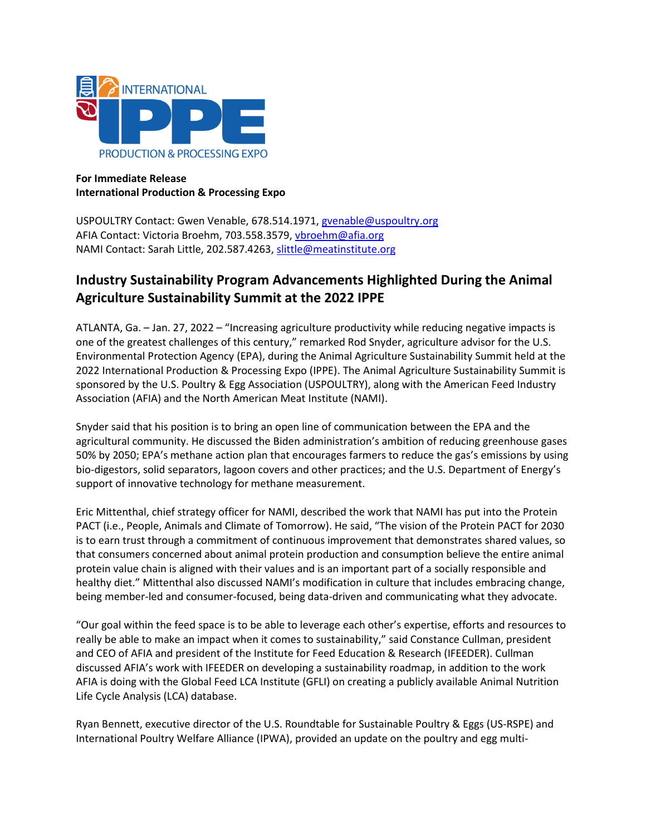

# **For Immediate Release International Production & Processing Expo**

USPOULTRY Contact: Gwen Venable, 678.514.1971, [gvenable@uspoultry.org](mailto:gvenable@uspoultry.org)  AFIA Contact: Victoria Broehm, 703.558.3579, vbroehm@afia.org NAMI Contact: Sarah Little, 202.587.4263, [slittle@meatinstitute.org](mailto:slittle@meatinstitute.org)

# **Industry Sustainability Program Advancements Highlighted During the Animal Agriculture Sustainability Summit at the 2022 IPPE**

ATLANTA, Ga. – Jan. 27, 2022 – "Increasing agriculture productivity while reducing negative impacts is one of the greatest challenges of this century," remarked Rod Snyder, agriculture advisor for the U.S. Environmental Protection Agency (EPA), during the Animal Agriculture Sustainability Summit held at the 2022 International Production & Processing Expo (IPPE). The Animal Agriculture Sustainability Summit is sponsored by the U.S. Poultry & Egg Association (USPOULTRY), along with the American Feed Industry Association (AFIA) and the North American Meat Institute (NAMI).

Snyder said that his position is to bring an open line of communication between the EPA and the agricultural community. He discussed the Biden administration's ambition of reducing greenhouse gases 50% by 2050; EPA's methane action plan that encourages farmers to reduce the gas's emissions by using bio-digestors, solid separators, lagoon covers and other practices; and the U.S. Department of Energy's support of innovative technology for methane measurement.

Eric Mittenthal, chief strategy officer for NAMI, described the work that NAMI has put into the Protein PACT (i.e., People, Animals and Climate of Tomorrow). He said, "The vision of the Protein PACT for 2030 is to earn trust through a commitment of continuous improvement that demonstrates shared values, so that consumers concerned about animal protein production and consumption believe the entire animal protein value chain is aligned with their values and is an important part of a socially responsible and healthy diet." Mittenthal also discussed NAMI's modification in culture that includes embracing change, being member-led and consumer-focused, being data-driven and communicating what they advocate.

"Our goal within the feed space is to be able to leverage each other's expertise, efforts and resources to really be able to make an impact when it comes to sustainability," said Constance Cullman, president and CEO of AFIA and president of the Institute for Feed Education & Research (IFEEDER). Cullman discussed AFIA's work with IFEEDER on developing a sustainability roadmap, in addition to the work AFIA is doing with the Global Feed LCA Institute (GFLI) on creating a publicly available Animal Nutrition Life Cycle Analysis (LCA) database.

Ryan Bennett, executive director of the U.S. Roundtable for Sustainable Poultry & Eggs (US-RSPE) and International Poultry Welfare Alliance (IPWA), provided an update on the poultry and egg multi-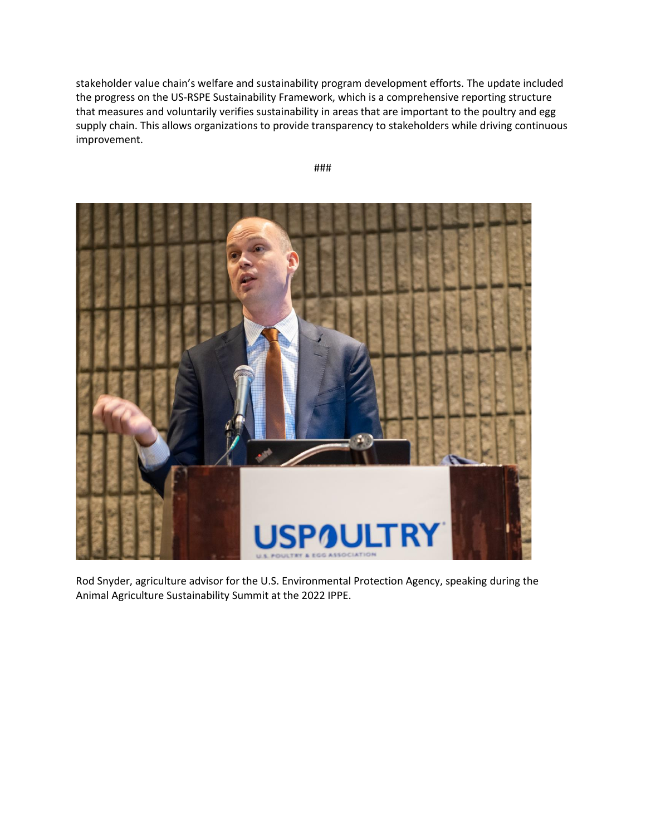stakeholder value chain's welfare and sustainability program development efforts. The update included the progress on the US-RSPE Sustainability Framework, which is a comprehensive reporting structure that measures and voluntarily verifies sustainability in areas that are important to the poultry and egg supply chain. This allows organizations to provide transparency to stakeholders while driving continuous improvement.





Rod Snyder, agriculture advisor for the U.S. Environmental Protection Agency, speaking during the Animal Agriculture Sustainability Summit at the 2022 IPPE.